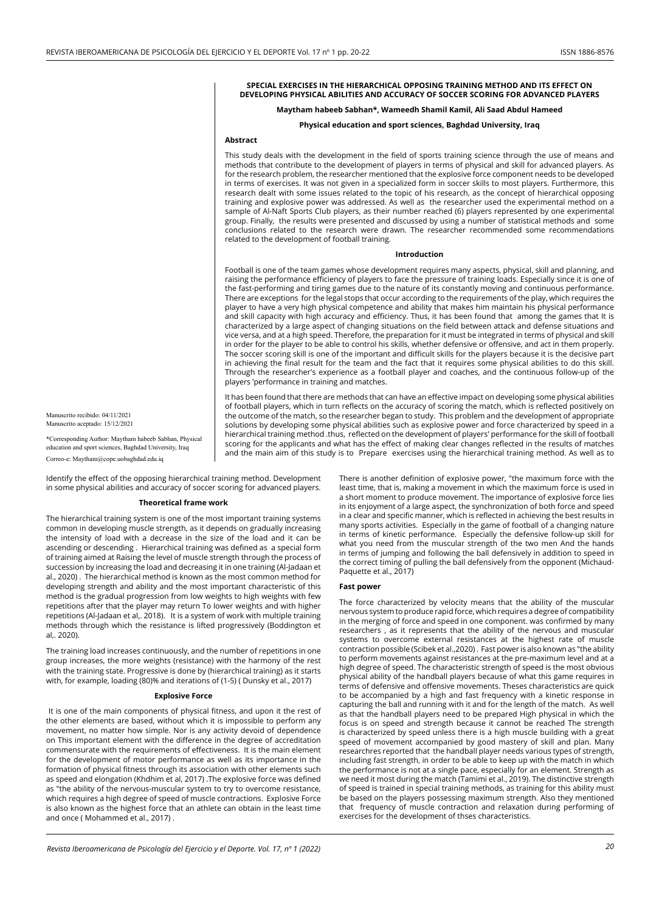### **SPECIAL EXERCISES IN THE HIERARCHICAL OPPOSING TRAINING METHOD AND ITS EFFECT ON DEVELOPING PHYSICAL ABILITIES AND ACCURACY OF SOCCER SCORING FOR ADVANCED PLAYERS**

# **Maytham habeeb Sabhan\*, Wameedh Shamil Kamil, Ali Saad Abdul Hameed**

# **Physical education and sport sciences, Baghdad University, Iraq**

### **Abstract**

This study deals with the development in the field of sports training science through the use of means and methods that contribute to the development of players in terms of physical and skill for advanced players. As for the research problem, the researcher mentioned that the explosive force component needs to be developed in terms of exercises. It was not given in a specialized form in soccer skills to most players. Furthermore, this research dealt with some issues related to the topic of his research, as the concept of hierarchical opposing training and explosive power was addressed. As well as the researcher used the experimental method on a sample of Al-Naft Sports Club players, as their number reached (6) players represented by one experimental group. Finally, the results were presented and discussed by using a number of statistical methods and some conclusions related to the research were drawn. The researcher recommended some recommendations related to the development of football training.

#### **Introduction**

Football is one of the team games whose development requires many aspects, physical, skill and planning, and raising the performance efficiency of players to face the pressure of training loads. Especially since it is one of the fast-performing and tiring games due to the nature of its constantly moving and continuous performance. There are exceptions for the legal stops that occur according to the requirements of the play, which requires the player to have a very high physical competence and ability that makes him maintain his physical performance and skill capacity with high accuracy and efficiency. Thus, it has been found that among the games that It is characterized by a large aspect of changing situations on the field between attack and defense situations and vice versa, and at a high speed. Therefore, the preparation for it must be integrated in terms of physical and skill in order for the player to be able to control his skills, whether defensive or offensive, and act in them properly. The soccer scoring skill is one of the important and difficult skills for the players because it is the decisive part in achieving the final result for the team and the fact that it requires some physical abilities to do this skill. Through the researcher's experience as a football player and coaches, and the continuous follow-up of the players 'performance in training and matches.

It has been found that there are methods that can have an effective impact on developing some physical abilities of football players, which in turn reflects on the accuracy of scoring the match, which is reflected positively on the outcome of the match, so the researcher began to study. This problem and the development of appropriate solutions by developing some physical abilities such as explosive power and force characterized by speed in a hierarchical training method .thus, reflected on the development of players' performance for the skill of football scoring for the applicants and what has the effect of making clear changes reflected in the results of matches and the main aim of this study is to Prepare exercises using the hierarchical training method. As well as to

Manuscrito recibido: 04/11/2021 Manuscrito aceptado: 15/12/2021

\*Corresponding Author: Maytham habeeb Sabhan, Physical education and sport sciences, Baghdad University, Iraq Correo-e: Maytham@cope.uobaghdad.edu.iq

Identify the effect of the opposing hierarchical training method. Development in some physical abilities and accuracy of soccer scoring for advanced players.

## **Theoretical frame work**

The hierarchical training system is one of the most important training systems common in developing muscle strength, as it depends on gradually increasing the intensity of load with a decrease in the size of the load and it can be ascending or descending . Hierarchical training was defined as a special form of training aimed at Raising the level of muscle strength through the process of succession by increasing the load and decreasing it in one training (Al-Jadaan et al., 2020) . The hierarchical method is known as the most common method for developing strength and ability and the most important characteristic of this method is the gradual progression from low weights to high weights with few repetitions after that the player may return To lower weights and with higher repetitions (Al-Jadaan et al,. 2018). It is a system of work with multiple training methods through which the resistance is lifted progressively (Boddington et al,. 2020).

The training load increases continuously, and the number of repetitions in one group increases, the more weights (resistance) with the harmony of the rest with the training state. Progressive is done by (hierarchical training) as it starts with, for example, loading (80)% and iterations of (1-5) ( Dunsky et al., 2017)

## **Explosive Force**

It is one of the main components of physical fitness, and upon it the rest of the other elements are based, without which it is impossible to perform any movement, no matter how simple. Nor is any activity devoid of dependence on This important element with the difference in the degree of accreditation commensurate with the requirements of effectiveness. It is the main element for the development of motor performance as well as its importance in the formation of physical fitness through its association with other elements such as speed and elongation (Khdhim et al, 2017) .The explosive force was defined as "the ability of the nervous-muscular system to try to overcome resistance, which requires a high degree of speed of muscle contractions. Explosive Force is also known as the highest force that an athlete can obtain in the least time and once ( Mohammed et al., 2017) .

There is another definition of explosive power, "the maximum force with the least time, that is, making a movement in which the maximum force is used in a short moment to produce movement. The importance of explosive force lies in its enjoyment of a large aspect, the synchronization of both force and speed in a clear and specific manner, which is reflected in achieving the best results in many sports activities. Especially in the game of football of a changing nature in terms of kinetic performance. Especially the defensive follow-up skill for what you need from the muscular strength of the two men And the hands in terms of jumping and following the ball defensively in addition to speed in the correct timing of pulling the ball defensively from the opponent (Michaud-Paquette et al., 2017)

## **Fast power**

The force characterized by velocity means that the ability of the muscular nervous system to produce rapid force, which requires a degree of compatibility in the merging of force and speed in one component. was confirmed by many researchers , as it represents that the ability of the nervous and muscular systems to overcome external resistances at the highest rate of muscle contraction possible (Scibek et al.,2020) . Fast power is also known as "the ability to perform movements against resistances at the pre-maximum level and at a high degree of speed. The characteristic strength of speed is the most obvious physical ability of the handball players because of what this game requires in terms of defensive and offensive movements. Theses characteristics are quick to be accompanied by a high and fast frequency with a kinetic response in capturing the ball and running with it and for the length of the match. As well as that the handball players need to be prepared High physical in which the focus is on speed and strength because it cannot be reached The strength is characterized by speed unless there is a high muscle building with a great speed of movement accompanied by good mastery of skill and plan. Many researchres reported that the handball player needs various types of strength, including fast strength, in order to be able to keep up with the match in which the performance is not at a single pace, especially for an element. Strength as we need it most during the match (Tamimi et al., 2019). The distinctive strength of speed is trained in special training methods, as training for this ability must be based on the players possessing maximum strength. Also they mentioned that frequency of muscle contraction and relaxation during performing of exercises for the development of thses characteristics.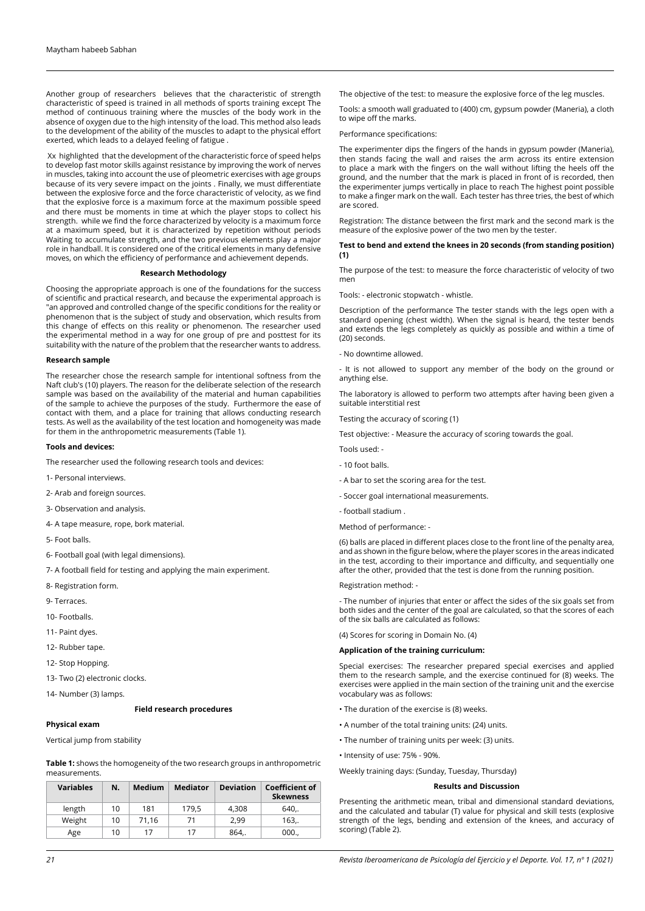Another group of researchers believes that the characteristic of strength characteristic of speed is trained in all methods of sports training except The method of continuous training where the muscles of the body work in the absence of oxygen due to the high intensity of the load. This method also leads to the development of the ability of the muscles to adapt to the physical effort exerted, which leads to a delayed feeling of fatigue .

 Xx highlighted that the development of the characteristic force of speed helps to develop fast motor skills against resistance by improving the work of nerves in muscles, taking into account the use of pleometric exercises with age groups because of its very severe impact on the joints . Finally, we must differentiate between the explosive force and the force characteristic of velocity, as we find that the explosive force is a maximum force at the maximum possible speed and there must be moments in time at which the player stops to collect his strength. while we find the force characterized by velocity is a maximum force at a maximum speed, but it is characterized by repetition without periods Waiting to accumulate strength, and the two previous elements play a major role in handball. It is considered one of the critical elements in many defensive moves, on which the efficiency of performance and achievement depends.

#### **Research Methodology**

Choosing the appropriate approach is one of the foundations for the success of scientific and practical research, and because the experimental approach is "an approved and controlled change of the specific conditions for the reality or phenomenon that is the subject of study and observation, which results from this change of effects on this reality or phenomenon. The researcher used the experimental method in a way for one group of pre and posttest for its suitability with the nature of the problem that the researcher wants to address.

#### **Research sample**

The researcher chose the research sample for intentional softness from the Naft club's (10) players. The reason for the deliberate selection of the research sample was based on the availability of the material and human capabilities of the sample to achieve the purposes of the study. Furthermore the ease of contact with them, and a place for training that allows conducting research tests. As well as the availability of the test location and homogeneity was made for them in the anthropometric measurements (Table 1).

### **Tools and devices:**

The researcher used the following research tools and devices:

- 1- Personal interviews.
- 2- Arab and foreign sources.
- 3- Observation and analysis.
- 4- A tape measure, rope, bork material.
- 5- Foot balls.
- 6- Football goal (with legal dimensions).
- 7- A football field for testing and applying the main experiment.
- 8- Registration form.
- 9- Terraces.
- 10- Footballs.
- 11- Paint dyes.
- 12- Rubber tape.
- 12- Stop Hopping.
- 13- Two (2) electronic clocks.
- 14- Number (3) lamps.

#### **Field research procedures**

#### **Physical exam**

Vertical jump from stability

**Table 1:** shows the homogeneity of the two research groups in anthropometric measurements.

| <b>Variables</b> | N. | Medium | <b>Mediator</b> | <b>Deviation</b> | <b>Coefficient of</b><br><b>Skewness</b> |
|------------------|----|--------|-----------------|------------------|------------------------------------------|
| length           | 10 | 181    | 179,5           | 4.308            | 640.                                     |
| Weight           | 10 | 71.16  | 71              | 2.99             | 163.                                     |
| Age              | 10 | 17     | 17              | 864,.            | 000.                                     |

The objective of the test: to measure the explosive force of the leg muscles.

Tools: a smooth wall graduated to (400) cm, gypsum powder (Maneria), a cloth to wipe off the marks.

Performance specifications:

The experimenter dips the fingers of the hands in gypsum powder (Maneria), then stands facing the wall and raises the arm across its entire extension to place a mark with the fingers on the wall without lifting the heels off the ground, and the number that the mark is placed in front of is recorded, then the experimenter jumps vertically in place to reach The highest point possible to make a finger mark on the wall. Each tester has three tries, the best of which are scored.

Registration: The distance between the first mark and the second mark is the measure of the explosive power of the two men by the tester.

### **Test to bend and extend the knees in 20 seconds (from standing position) (1)**

The purpose of the test: to measure the force characteristic of velocity of two men

Tools: - electronic stopwatch - whistle.

Description of the performance The tester stands with the legs open with a standard opening (chest width). When the signal is heard, the tester bends and extends the legs completely as quickly as possible and within a time of (20) seconds.

- No downtime allowed.

- It is not allowed to support any member of the body on the ground or anything else.

The laboratory is allowed to perform two attempts after having been given a suitable interstitial rest

Testing the accuracy of scoring (1)

Test objective: - Measure the accuracy of scoring towards the goal.

Tools used: -

- 10 foot balls.
- A bar to set the scoring area for the test.
- Soccer goal international measurements.
- football stadium .
- Method of performance: -

(6) balls are placed in different places close to the front line of the penalty area, and as shown in the figure below, where the player scores in the areas indicated in the test, according to their importance and difficulty, and sequentially one after the other, provided that the test is done from the running position.

## Registration method: -

- The number of injuries that enter or affect the sides of the six goals set from both sides and the center of the goal are calculated, so that the scores of each of the six balls are calculated as follows:

(4) Scores for scoring in Domain No. (4)

#### **Application of the training curriculum:**

Special exercises: The researcher prepared special exercises and applied them to the research sample, and the exercise continued for (8) weeks. The exercises were applied in the main section of the training unit and the exercise vocabulary was as follows:

- The duration of the exercise is (8) weeks.
- A number of the total training units: (24) units.
- The number of training units per week: (3) units.
- Intensity of use: 75% 90%.

Weekly training days: (Sunday, Tuesday, Thursday)

## **Results and Discussion**

Presenting the arithmetic mean, tribal and dimensional standard deviations, and the calculated and tabular (T) value for physical and skill tests (explosive strength of the legs, bending and extension of the knees, and accuracy of scoring) (Table 2).